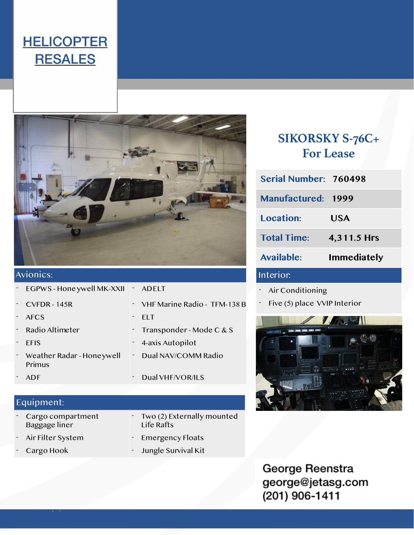### **HELICOPTER RESALES**



### Avionics:

|  | $\sim$ EGPWS - Hone ywell MK-XXII $\sim$ | ADELT                          |
|--|------------------------------------------|--------------------------------|
|  | $CVFDR - 145R$                           | - VHF Marine Radio - TFM-138 B |
|  | <b>AFCS</b>                              | <b>FIT</b>                     |
|  | - Radio Altimeter                        | - Transponder - Mode $C & S$   |
|  | <b>EFIS</b>                              | - 4-axis Autopilot             |
|  | Weather Radar - Honeywell<br>Primus      | - Dual NAV/COMM Radio          |
|  | ADF                                      | Dual VHF/VOR/ILS               |
|  |                                          |                                |

#### Equipment: Equipment:

- Cargo compartment Baggage liner
- 
- 
- Two (2) Externally mounted Life Rafts
- Air Filter System Emergency Floats
- Cargo Hook Jungle Survival Kit

### **SIKORSKY S-76C+ For Lease**

| Serial Number: 760498     |                    |
|---------------------------|--------------------|
| <b>Manufactured: 1999</b> |                    |
| <b>Location:</b>          | <b>USA</b>         |
| <b>Total Time:</b>        | 4,311.5 Hrs        |
| <b>Available:</b>         | <b>Immediately</b> |
| Interior                  |                    |

- Air Conditioning
- Five (5) place VVIP Interior



George Reenstra george@jetasg.com (201) 906-1411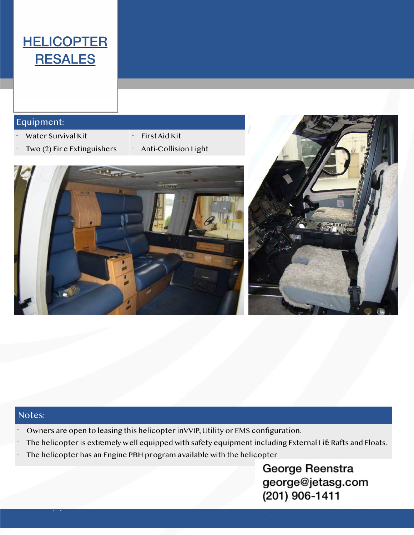## **HELICOPTER RESALES**

#### Equipment: Equipment:

- Water Survival Kit First Aid Kit
- Two (2) Fir e Extinguishers Anti-Collision Light
- -





#### Notes:

- Owners are open to leasing this helicopter in VVIP, Utility or EMS configuration.
- The helicopter is extremely well equipped with safety equipment including External Life Rafts and Floats.
- The helicopter has an Engine PBH program available with the helicopter

George Reenstra george@jetasg.com (201) 906-1411